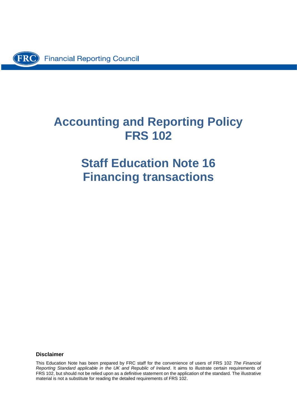

# **Accounting and Reporting Policy FRS 102**

# **Staff Education Note 16 Financing transactions**

#### **Disclaimer**

This Education Note has been prepared by FRC staff for the convenience of users of FRS 102 *The Financial Reporting Standard applicable in the UK and Republic of Ireland*. It aims to illustrate certain requirements of FRS 102, but should not be relied upon as a definitive statement on the application of the standard. The illustrative material is not a substitute for reading the detailed requirements of FRS 102.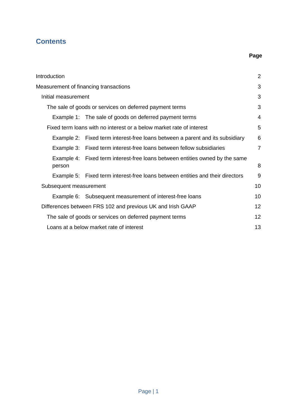# **Contents**

# **Page**

| Introduction           |                                                                                | $\overline{2}$ |
|------------------------|--------------------------------------------------------------------------------|----------------|
|                        | Measurement of financing transactions                                          | 3              |
| Initial measurement    |                                                                                | 3              |
|                        | The sale of goods or services on deferred payment terms                        | 3              |
|                        | Example 1: The sale of goods on deferred payment terms                         | 4              |
|                        | Fixed term loans with no interest or a below market rate of interest           | 5              |
| Example 2:             | Fixed term interest-free loans between a parent and its subsidiary             | 6              |
|                        | Example 3: Fixed term interest-free loans between fellow subsidiaries          | $\overline{7}$ |
| person                 | Example 4: Fixed term interest-free loans between entities owned by the same   | 8              |
|                        | Example 5: Fixed term interest-free loans between entities and their directors | 9              |
| Subsequent measurement |                                                                                | 10             |
|                        | Example 6: Subsequent measurement of interest-free loans                       | 10             |
|                        | Differences between FRS 102 and previous UK and Irish GAAP                     | 12             |
|                        | The sale of goods or services on deferred payment terms                        | 12             |
|                        | Loans at a below market rate of interest                                       | 13             |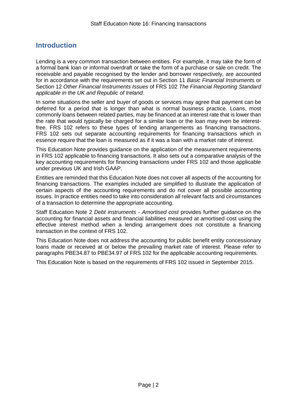# <span id="page-2-0"></span>**Introduction**

Lending is a very common transaction between entities. For example, it may take the form of a formal bank loan or informal overdraft or take the form of a purchase or sale on credit. The receivable and payable recognised by the lender and borrower respectively, are accounted for in accordance with the requirements set out in Section 11 *Basic Financial Instruments* or Section 12 *Other Financial Instruments Issues* of FRS 102 *The Financial Reporting Standard applicable in the UK and Republic of Ireland*.

In some situations the seller and buyer of goods or services may agree that payment can be deferred for a period that is longer than what is normal business practice. Loans, most commonly loans between related parties, may be financed at an interest rate that is lower than the rate that would typically be charged for a similar loan or the loan may even be interestfree. FRS 102 refers to these types of lending arrangements as financing transactions. FRS 102 sets out separate accounting requirements for financing transactions which in essence require that the loan is measured as if it was a loan with a market rate of interest.

This Education Note provides guidance on the application of the measurement requirements in FRS 102 applicable to financing transactions. It also sets out a comparative analysis of the key accounting requirements for financing transactions under FRS 102 and those applicable under previous UK and Irish GAAP.

Entities are reminded that this Education Note does not cover all aspects of the accounting for financing transactions. The examples included are simplified to illustrate the application of certain aspects of the accounting requirements and do not cover all possible accounting issues. In practice entities need to take into consideration all relevant facts and circumstances of a transaction to determine the appropriate accounting.

Staff Education Note 2 *Debt instruments - Amortised cost* provides further guidance on the accounting for financial assets and financial liabilities measured at amortised cost using the effective interest method when a lending arrangement does not constitute a financing transaction in the context of FRS 102.

This Education Note does not address the accounting for public benefit entity concessionary loans made or received at or below the prevailing market rate of interest. Please refer to paragraphs PBE34.87 to PBE34.97 of FRS 102 for the applicable accounting requirements.

This Education Note is based on the requirements of FRS 102 issued in September 2015.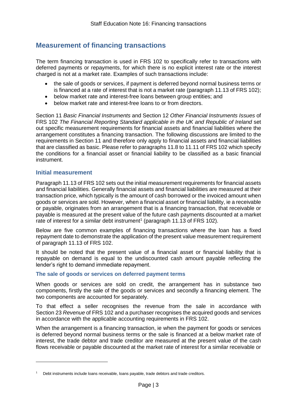# <span id="page-3-0"></span>**Measurement of financing transactions**

The term financing transaction is used in FRS 102 to specifically refer to transactions with deferred payments or repayments, for which there is no explicit interest rate or the interest charged is not at a market rate. Examples of such transactions include:

- the sale of goods or services, if payment is deferred beyond normal business terms or is financed at a rate of interest that is not a market rate (paragraph 11.13 of FRS 102);
- below market rate and interest-free loans between group entities; and
- below market rate and interest-free loans to or from directors.

Section 11 *Basic Financial Instruments* and Section 12 *Other Financial Instruments Issues* of FRS 102 *The Financial Reporting Standard applicable in the UK and Republic of Ireland* set out specific measurement requirements for financial assets and financial liabilities where the arrangement constitutes a financing transaction. The following discussions are limited to the requirements in Section 11 and therefore only apply to financial assets and financial liabilities that are classified as basic. Please refer to paragraphs 11.8 to 11.11 of FRS 102 which specify the conditions for a financial asset or financial liability to be classified as a basic financial instrument.

# <span id="page-3-1"></span>**Initial measurement**

-

Paragraph 11.13 of FRS 102 sets out the initial measurement requirements for financial assets and financial liabilities. Generally financial assets and financial liabilities are measured at their transaction price, which typically is the amount of cash borrowed or the invoiced amount when goods or services are sold. However, when a financial asset or financial liability, ie a receivable or payable, originates from an arrangement that is a financing transaction, that receivable or payable is measured at the present value of the future cash payments discounted at a market rate of interest for a similar debt instrument<sup>1</sup> (paragraph 11.13 of FRS 102).

Below are five common examples of financing transactions where the loan has a fixed repayment date to demonstrate the application of the present value measurement requirement of paragraph 11.13 of FRS 102.

It should be noted that the present value of a financial asset or financial liability that is repayable on demand is equal to the undiscounted cash amount payable reflecting the lender's right to demand immediate repayment.

## <span id="page-3-2"></span>**The sale of goods or services on deferred payment terms**

When goods or services are sold on credit, the arrangement has in substance two components, firstly the sale of the goods or services and secondly a financing element. The two components are accounted for separately.

To that effect a seller recognises the revenue from the sale in accordance with Section 23 *Revenue* of FRS 102 and a purchaser recognises the acquired goods and services in accordance with the applicable accounting requirements in FRS 102.

When the arrangement is a financing transaction, ie when the payment for goods or services is deferred beyond normal business terms or the sale is financed at a below market rate of interest, the trade debtor and trade creditor are measured at the present value of the cash flows receivable or payable discounted at the market rate of interest for a similar receivable or

<sup>&</sup>lt;sup>1</sup> Debt instruments include loans receivable, loans payable, trade debtors and trade creditors.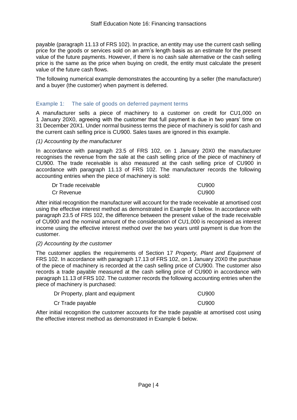payable (paragraph 11.13 of FRS 102). In practice, an entity may use the current cash selling price for the goods or services sold on an arm's length basis as an estimate for the present value of the future payments. However, if there is no cash sale alternative or the cash selling price is the same as the price when buying on credit, the entity must calculate the present value of the future cash flows.

The following numerical example demonstrates the accounting by a seller (the manufacturer) and a buyer (the customer) when payment is deferred.

# <span id="page-4-0"></span>Example 1: The sale of goods on deferred payment terms

A manufacturer sells a piece of machinery to a customer on credit for CU1,000 on 1 January 20X0, agreeing with the customer that full payment is due in two years' time on 31 December 20X1. Under normal business terms the piece of machinery is sold for cash and the current cash selling price is CU900. Sales taxes are ignored in this example.

#### *(1) Accounting by the manufacturer*

In accordance with paragraph 23.5 of FRS 102, on 1 January 20X0 the manufacturer recognises the revenue from the sale at the cash selling price of the piece of machinery of CU900. The trade receivable is also measured at the cash selling price of CU900 in accordance with paragraph 11.13 of FRS 102. The manufacturer records the following accounting entries when the piece of machinery is sold:

| Dr Trade receivable | CU900 |
|---------------------|-------|
| Cr Revenue          | CU900 |

After initial recognition the manufacturer will account for the trade receivable at amortised cost using the effective interest method as demonstrated in Example 6 below. In accordance with paragraph 23.5 of FRS 102, the difference between the present value of the trade receivable of CU900 and the nominal amount of the consideration of CU1,000 is recognised as interest income using the effective interest method over the two years until payment is due from the customer.

#### *(2) Accounting by the customer*

The customer applies the requirements of Section 17 *Property, Plant and Equipment* of FRS 102. In accordance with paragraph 17.13 of FRS 102, on 1 January 20X0 the purchase of the piece of machinery is recorded at the cash selling price of CU900. The customer also records a trade payable measured at the cash selling price of CU900 in accordance with paragraph 11.13 of FRS 102. The customer records the following accounting entries when the piece of machinery is purchased:

| Dr Property, plant and equipment | <b>CU900</b> |
|----------------------------------|--------------|
| Cr Trade payable                 | <b>CU900</b> |

After initial recognition the customer accounts for the trade payable at amortised cost using the effective interest method as demonstrated in Example 6 below.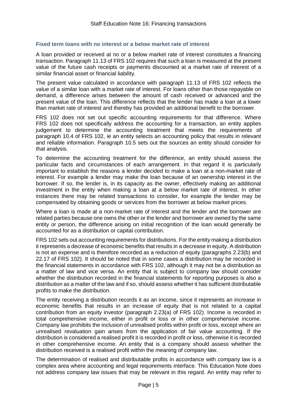#### <span id="page-5-0"></span>**Fixed term loans with no interest or a below market rate of interest**

A loan provided or received at no or a below market rate of interest constitutes a financing transaction. Paragraph 11.13 of FRS 102 requires that such a loan is measured at the present value of the future cash receipts or payments discounted at a market rate of interest of a similar financial asset or financial liability.

The present value calculated in accordance with paragraph 11.13 of FRS 102 reflects the value of a similar loan with a market rate of interest. For loans other than those repayable on demand, a difference arises between the amount of cash received or advanced and the present value of the loan. This difference reflects that the lender has made a loan at a lower than market rate of interest and thereby has provided an additional benefit to the borrower.

FRS 102 does not set out specific accounting requirements for that difference. Where FRS 102 does not specifically address the accounting for a transaction, an entity applies judgement to determine the accounting treatment that meets the requirements of paragraph 10.4 of FRS 102, ie an entity selects an accounting policy that results in relevant and reliable information. Paragraph 10.5 sets out the sources an entity should consider for that analysis.

To determine the accounting treatment for the difference, an entity should assess the particular facts and circumstances of each arrangement. In that regard it is particularly important to establish the reasons a lender decided to make a loan at a non-market rate of interest. For example a lender may make the loan because of an ownership interest in the borrower. If so, the lender is, in its capacity as the owner, effectively making an additional investment in the entity when making a loan at a below market rate of interest. In other instances there may be related transactions to consider, for example the lender may be compensated by obtaining goods or services from the borrower at below market prices.

Where a loan is made at a non-market rate of interest and the lender and the borrower are related parties because one owns the other or the lender and borrower are owned by the same entity or person, the difference arising on initial recognition of the loan would generally be accounted for as a distribution or capital contribution.

FRS 102 sets out accounting requirements for distributions. For the entity making a distribution it represents a decrease of economic benefits that results in a decrease in equity. A distribution is not an expense and is therefore recorded as a reduction of equity (paragraphs 2.23(b) and 22.17 of FRS 102). It should be noted that in some cases a distribution may be recorded in the financial statements in accordance with FRS 102, although it may not be a distribution as a matter of law and vice versa. An entity that is subject to company law should consider whether the distribution recorded in the financial statements for reporting purposes is also a distribution as a matter of the law and if so, should assess whether it has sufficient distributable profits to make the distribution.

The entity receiving a distribution records it as an income, since it represents an increase in economic benefits that results in an increase of equity that is not related to a capital contribution from an equity investor (paragraph 2.23(a) of FRS 102). Income is recorded in total comprehensive income, either in profit or loss or in other comprehensive income. Company law prohibits the inclusion of unrealised profits within profit or loss, except where an unrealised revaluation gain arises from the application of fair value accounting. If the distribution is considered a realised profit it is recorded in profit or loss, otherwise it is recorded in other comprehensive income. An entity that is a company should assess whether the distribution received is a realised profit within the meaning of company law.

The determination of realised and distributable profits in accordance with company law is a complex area where accounting and legal requirements interface. This Education Note does not address company law issues that may be relevant in this regard. An entity may refer to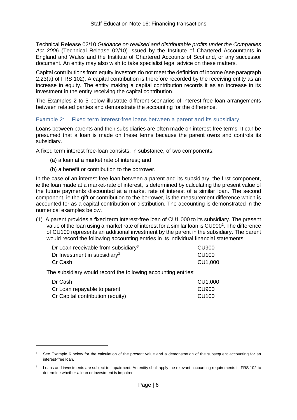Technical Release 02/10 *Guidance on realised and distributable profits under the Companies Act 2006* (Technical Release 02/10) issued by the Institute of Chartered Accountants in England and Wales and the Institute of Chartered Accounts of Scotland, or any successor document. An entity may also wish to take specialist legal advice on these matters.

Capital contributions from equity investors do not meet the definition of income (see paragraph 2.23(a) of FRS 102). A capital contribution is therefore recorded by the receiving entity as an increase in equity. The entity making a capital contribution records it as an increase in its investment in the entity receiving the capital contribution.

The Examples 2 to 5 below illustrate different scenarios of interest-free loan arrangements between related parties and demonstrate the accounting for the difference.

## <span id="page-6-0"></span>Example 2: Fixed term interest-free loans between a parent and its subsidiary

Loans between parents and their subsidiaries are often made on interest-free terms. It can be presumed that a loan is made on these terms because the parent owns and controls its subsidiary.

A fixed term interest free-loan consists, in substance, of two components:

- (a) a loan at a market rate of interest; and
- (b) a benefit or contribution to the borrower.

In the case of an interest-free loan between a parent and its subsidiary, the first component, ie the loan made at a market-rate of interest, is determined by calculating the present value of the future payments discounted at a market rate of interest of a similar loan. The second component, ie the gift or contribution to the borrower, is the measurement difference which is accounted for as a capital contribution or distribution. The accounting is demonstrated in the numerical examples below.

(1) A parent provides a fixed term interest-free loan of CU1,000 to its subsidiary. The present value of the loan using a market rate of interest for a similar loan is  $CU900<sup>2</sup>$ . The difference of CU100 represents an additional investment by the parent in the subsidiary. The parent would record the following accounting entries in its individual financial statements:

| Dr Loan receivable from subsidiary <sup>3</sup> | CU <sub>900</sub> |
|-------------------------------------------------|-------------------|
| Dr Investment in subsidiary <sup>3</sup>        | CU <sub>100</sub> |
| Cr Cash                                         | CU1,000           |

The subsidiary would record the following accounting entries:

| Dr Cash                          | CU1,000           |
|----------------------------------|-------------------|
| Cr Loan repayable to parent      | <b>CU900</b>      |
| Cr Capital contribution (equity) | CU <sub>100</sub> |

<sup>&</sup>lt;sup>2</sup> See Example 6 below for the calculation of the present value and a demonstration of the subsequent accounting for an interest-free loan.

<sup>3</sup> Loans and investments are subject to impairment. An entity shall apply the relevant accounting requirements in FRS 102 to determine whether a loan or investment is impaired.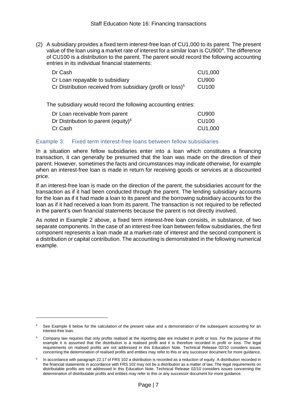(2) A subsidiary provides a fixed term interest-free loan of CU1,000 to its parent. The present value of the loan using a market rate of interest for a similar loan is CU900<sup>4</sup>. The difference of CU100 is a distribution to the parent. The parent would record the following accounting entries in its individual financial statements:

| Dr Cash                                                       | CU1,000           |
|---------------------------------------------------------------|-------------------|
| Cr Loan repayable to subsidiary                               | CU900             |
| Cr Distribution received from subsidiary (profit or loss) $5$ | CU <sub>100</sub> |

The subsidiary would record the following accounting entries:

| Dr Loan receivable from parent                  | <b>CU900</b>      |
|-------------------------------------------------|-------------------|
| Dr Distribution to parent (equity) <sup>6</sup> | CU <sub>100</sub> |
| Cr Cash                                         | CU1,000           |

## <span id="page-7-0"></span>Example 3: Fixed term interest-free loans between fellow subsidiaries

In a situation where fellow subsidiaries enter into a loan which constitutes a financing transaction, it can generally be presumed that the loan was made on the direction of their parent. However, sometimes the facts and circumstances may indicate otherwise, for example when an interest-free loan is made in return for receiving goods or services at a discounted price.

If an interest-free loan is made on the direction of the parent, the subsidiaries account for the transaction as if it had been conducted through the parent. The lending subsidiary accounts for the loan as if it had made a loan to its parent and the borrowing subsidiary accounts for the loan as if it had received a loan from its parent. The transaction is not required to be reflected in the parent's own financial statements because the parent is not directly involved.

As noted in Example 2 above, a fixed term interest-free loan consists, in substance, of two separate components. In the case of an interest-free loan between fellow subsidiaries, the first component represents a loan made at a market-rate of interest and the second component is a distribution or capital contribution. The accounting is demonstrated in the following numerical example.

See Example 6 below for the calculation of the present value and a demonstration of the subsequent accounting for an interest-free loan.

<sup>5</sup> Company law requires that only profits realised at the reporting date are included in profit or loss. For the purpose of this example it is assumed that the distribution is a realised profit and it is therefore recorded in profit or loss. The legal requirements on realised profits are not addressed in this Education Note. Technical Release 02/10 considers issues concerning the determination of realised profits and entities may refer to this or any successor document for more guidance.

<sup>6</sup> In accordance with paragraph 22.17 of FRS 102 a distribution is recorded as a reduction of equity. A distribution recorded in the financial statements in accordance with FRS 102 may not be a distribution as a matter of law. The legal requirements on distributable profits are not addressed in this Education Note. Technical Release 02/10 considers issues concerning the determination of distributable profits and entities may refer to this or any successor document for more guidance.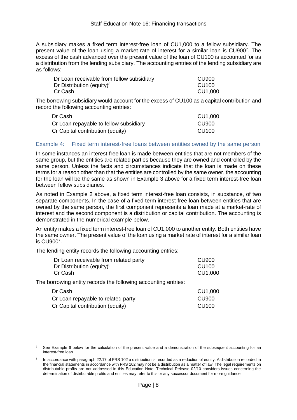A subsidiary makes a fixed term interest-free loan of CU1,000 to a fellow subsidiary. The present value of the loan using a market rate of interest for a similar loan is CU900<sup>7</sup>. The excess of the cash advanced over the present value of the loan of CU100 is accounted for as a distribution from the lending subsidiary. The accounting entries of the lending subsidiary are as follows:

| Dr Loan receivable from fellow subsidiary | CU900   |
|-------------------------------------------|---------|
| Dr Distribution (equity) <sup>8</sup>     | CU100   |
| Cr Cash                                   | CU1,000 |

The borrowing subsidiary would account for the excess of CU100 as a capital contribution and record the following accounting entries:

| Dr Cash                                | CU1,000           |  |
|----------------------------------------|-------------------|--|
| Cr Loan repayable to fellow subsidiary | CU <sub>900</sub> |  |
| Cr Capital contribution (equity)       | CU <sub>100</sub> |  |

#### <span id="page-8-0"></span>Example 4: Fixed term interest-free loans between entities owned by the same person

In some instances an interest-free loan is made between entities that are not members of the same group, but the entities are related parties because they are owned and controlled by the same person. Unless the facts and circumstances indicate that the loan is made on these terms for a reason other than that the entities are controlled by the same owner, the accounting for the loan will be the same as shown in Example 3 above for a fixed term interest-free loan between fellow subsidiaries.

As noted in Example 2 above, a fixed term interest-free loan consists, in substance, of two separate components. In the case of a fixed term interest-free loan between entities that are owned by the same person, the first component represents a loan made at a market-rate of interest and the second component is a distribution or capital contribution. The accounting is demonstrated in the numerical example below.

An entity makes a fixed term interest-free loan of CU1,000 to another entity. Both entities have the same owner. The present value of the loan using a market rate of interest for a similar loan is CU900<sup>7</sup> .

The lending entity records the following accounting entries:

| <b>CU900</b> |
|--------------|
| <b>CU100</b> |
| CU1,000      |
|              |
| CU1,000      |
| <b>CU900</b> |
| <b>CU100</b> |
|              |

See Example 6 below for the calculation of the present value and a demonstration of the subsequent accounting for an interest-free loan.

<sup>8</sup> In accordance with paragraph 22.17 of FRS 102 a distribution is recorded as a reduction of equity. A distribution recorded in the financial statements in accordance with FRS 102 may not be a distribution as a matter of law. The legal requirements on distributable profits are not addressed in this Education Note. Technical Release 02/10 considers issues concerning the determination of distributable profits and entities may refer to this or any successor document for more guidance.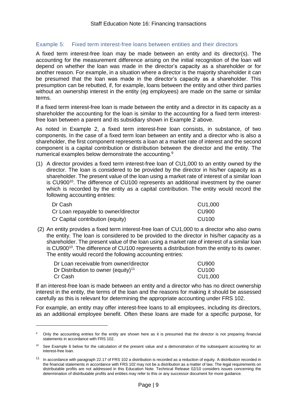# <span id="page-9-0"></span>Example 5: Fixed term interest-free loans between entities and their directors

A fixed term interest-free loan may be made between an entity and its director(s). The accounting for the measurement difference arising on the initial recognition of the loan will depend on whether the loan was made in the director's capacity as a shareholder or for another reason. For example, in a situation where a director is the majority shareholder it can be presumed that the loan was made in the director's capacity as a shareholder. This presumption can be rebutted, if, for example, loans between the entity and other third parties without an ownership interest in the entity (eg employees) are made on the same or similar terms.

If a fixed term interest-free loan is made between the entity and a director in its capacity as a shareholder the accounting for the loan is similar to the accounting for a fixed term interestfree loan between a parent and its subsidiary shown in Example 2 above.

As noted in Example 2, a fixed term interest-free loan consists, in substance, of two components. In the case of a fixed term loan between an entity and a director who is also a shareholder, the first component represents a loan at a market rate of interest and the second component is a capital contribution or distribution between the director and the entity. The numerical examples below demonstrate the accounting.<sup>9</sup>

(1) A director provides a fixed term interest-free loan of CU1,000 to an entity owned by the director. The loan is considered to be provided by the director in his/her capacity as a shareholder. The present value of the loan using a market rate of interest of a similar loan is CU900<sup>10</sup>. The difference of CU100 represents an additional investment by the owner which is recorded by the entity as a capital contribution. The entity would record the following accounting entries:

| Dr Cash                             | CU1,000           |  |
|-------------------------------------|-------------------|--|
| Cr Loan repayable to owner/director | CU <sub>900</sub> |  |
| Cr Capital contribution (equity)    | CU <sub>100</sub> |  |

(2) An entity provides a fixed term interest-free loan of CU1,000 to a director who also owns the entity. The loan is considered to be provided to the director in his/her capacity as a shareholder. The present value of the loan using a market rate of interest of a similar loan is CU900<sup>10</sup>. The difference of CU100 represents a distribution from the entity to its owner. The entity would record the following accounting entries:

| Dr Loan receivable from owner/director          | CU900             |
|-------------------------------------------------|-------------------|
| Dr Distribution to owner (equity) <sup>11</sup> | CU <sub>100</sub> |
| Cr Cash l                                       | CU1,000           |

-

If an interest-free loan is made between an entity and a director who has no direct ownership interest in the entity, the terms of the loan and the reasons for making it should be assessed carefully as this is relevant for determining the appropriate accounting under FRS 102.

For example, an entity may offer interest-free loans to all employees, including its directors, as an additional employee benefit. Often these loans are made for a specific purpose, for

<sup>&</sup>lt;sup>9</sup> Only the accounting entries for the entity are shown here as it is presumed that the director is not preparing financial statements in accordance with FRS 102.

<sup>&</sup>lt;sup>10</sup> See Example 6 below for the calculation of the present value and a demonstration of the subsequent accounting for an interest-free loan.

<sup>11</sup> In accordance with paragraph 22.17 of FRS 102 a distribution is recorded as a reduction of equity. A distribution recorded in the financial statements in accordance with FRS 102 may not be a distribution as a matter of law. The legal requirements on distributable profits are not addressed in this Education Note. Technical Release 02/10 considers issues concerning the determination of distributable profits and entities may refer to this or any successor document for more guidance.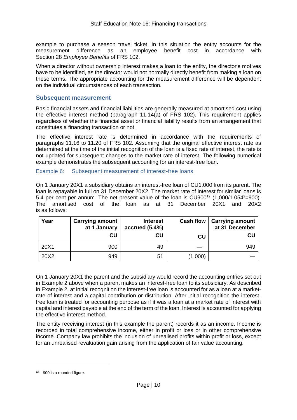example to purchase a season travel ticket. In this situation the entity accounts for the measurement difference as an employee benefit cost in accordance with Section 28 *Employee Benefits* of FRS 102.

When a director without ownership interest makes a loan to the entity, the director's motives have to be identified, as the director would not normally directly benefit from making a loan on these terms. The appropriate accounting for the measurement difference will be dependent on the individual circumstances of each transaction.

# <span id="page-10-0"></span>**Subsequent measurement**

Basic financial assets and financial liabilities are generally measured at amortised cost using the effective interest method (paragraph 11.14(a) of FRS 102). This requirement applies regardless of whether the financial asset or financial liability results from an arrangement that constitutes a financing transaction or not.

The effective interest rate is determined in accordance with the requirements of paragraphs 11.16 to 11.20 of FRS 102. Assuming that the original effective interest rate as determined at the time of the initial recognition of the loan is a fixed rate of interest, the rate is not updated for subsequent changes to the market rate of interest. The following numerical example demonstrates the subsequent accounting for an interest-free loan.

## <span id="page-10-1"></span>Example 6: Subsequent measurement of interest-free loans

On 1 January 20X1 a subsidiary obtains an interest-free loan of CU1,000 from its parent. The loan is repayable in full on 31 December 20X2. The market rate of interest for similar loans is 5.4 per cent per annum. The net present value of the loan is  $CU900<sup>12</sup> (1,000/1.054<sup>2</sup>=900)$ . The amortised cost of the loan as at 31 December 20X1 and 20X2 is as follows:

| Year | <b>Carrying amount</b><br>at 1 January | <b>Interest</b><br>accrued $(5.4%)$ | <b>Cash flow</b> | <b>Carrying amount</b><br>at 31 December |
|------|----------------------------------------|-------------------------------------|------------------|------------------------------------------|
|      | CU                                     | CU                                  | CU               | CU                                       |
| 20X1 | 900                                    | 49                                  |                  | 949                                      |
| 20X2 | 949                                    | 51                                  | (1,000)          |                                          |

On 1 January 20X1 the parent and the subsidiary would record the accounting entries set out in Example 2 above when a parent makes an interest-free loan to its subsidiary. As described in Example 2, at initial recognition the interest-free loan is accounted for as a loan at a marketrate of interest and a capital contribution or distribution. After initial recognition the interestfree loan is treated for accounting purpose as if it was a loan at a market rate of interest with capital and interest payable at the end of the term of the loan. Interest is accounted for applying the effective interest method.

The entity receiving interest (in this example the parent) records it as an income. Income is recorded in total comprehensive income, either in profit or loss or in other comprehensive income. Company law prohibits the inclusion of unrealised profits within profit or loss, except for an unrealised revaluation gain arising from the application of fair value accounting.

 $12$  900 is a rounded figure.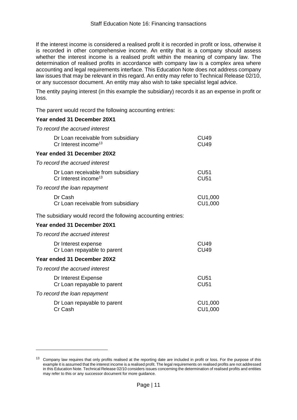If the interest income is considered a realised profit it is recorded in profit or loss, otherwise it is recorded in other comprehensive income. An entity that is a company should assess whether the interest income is a realised profit within the meaning of company law. The determination of realised profits in accordance with company law is a complex area where accounting and legal requirements interface. This Education Note does not address company law issues that may be relevant in this regard. An entity may refer to Technical Release 02/10, or any successor document. An entity may also wish to take specialist legal advice.

The entity paying interest (in this example the subsidiary) records it as an expense in profit or loss.

The parent would record the following accounting entries:

## **Year ended 31 December 20X1**

*To record the accrued interest*

| Dr Loan receivable from subsidiary<br>Cr Interest income <sup>13</sup> | CU <sub>49</sub><br><b>CU49</b> |
|------------------------------------------------------------------------|---------------------------------|
| Year ended 31 December 20X2                                            |                                 |
| To record the accrued interest                                         |                                 |
| Dr Loan receivable from subsidiary<br>Cr Interest income <sup>13</sup> | CU <sub>51</sub><br><b>CU51</b> |
| To record the loan repayment                                           |                                 |
| Dr Cash<br>Cr Loan receivable from subsidiary                          | CU1,000<br>CU1,000              |
| The subsidiary would record the following accounting entries:          |                                 |
| Year ended 31 December 20X1                                            |                                 |
| To record the accrued interest                                         |                                 |
| Dr Interest expense<br>Cr Loan repayable to parent                     | CU <sub>49</sub><br><b>CU49</b> |
| Year ended 31 December 20X2                                            |                                 |
| To record the accrued interest                                         |                                 |
| Dr Interest Expense<br>Cr Loan repayable to parent                     | <b>CU51</b><br><b>CU51</b>      |
| To record the loan repayment                                           |                                 |
| Dr Loan repayable to parent<br>Cr Cash                                 | CU1,000<br>CU1,000              |

<sup>&</sup>lt;sup>13</sup> Company law requires that only profits realised at the reporting date are included in profit or loss. For the purpose of this example it is assumed that the interest income is a realised profit. The legal requirements on realised profits are not addressed in this Education Note. Technical Release 02/10 considers issues concerning the determination of realised profits and entities may refer to this or any successor document for more guidance.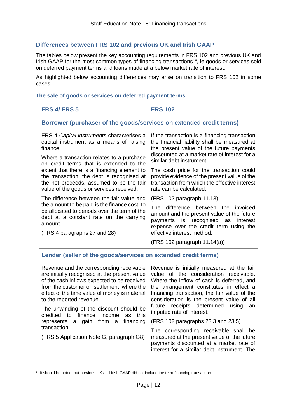# <span id="page-12-0"></span>**Differences between FRS 102 and previous UK and Irish GAAP**

The tables below present the key accounting requirements in FRS 102 and previous UK and Irish GAAP for the most common types of financing transactions<sup>14</sup>, ie goods or services sold on deferred payment terms and loans made at a below market rate of interest.

As highlighted below accounting differences may arise on transition to FRS 102 in some cases.

## <span id="page-12-1"></span>**The sale of goods or services on deferred payment terms**

| <b>FRS 4/ FRS 5</b>                                                                                                                                                                                                                                                 | <b>FRS 102</b>                                                                                                                                                                                                                                                           |  |  |  |
|---------------------------------------------------------------------------------------------------------------------------------------------------------------------------------------------------------------------------------------------------------------------|--------------------------------------------------------------------------------------------------------------------------------------------------------------------------------------------------------------------------------------------------------------------------|--|--|--|
| Borrower (purchaser of the goods/services on extended credit terms)                                                                                                                                                                                                 |                                                                                                                                                                                                                                                                          |  |  |  |
| FRS 4 Capital instruments characterises a<br>capital instrument as a means of raising<br>finance.<br>Where a transaction relates to a purchase<br>on credit terms that is extended to the                                                                           | If the transaction is a financing transaction<br>the financial liability shall be measured at<br>the present value of the future payments<br>discounted at a market rate of interest for a<br>similar debt instrument.                                                   |  |  |  |
| extent that there is a financing element to<br>the transaction, the debt is recognised at<br>the net proceeds, assumed to be the fair<br>value of the goods or services received.                                                                                   | The cash price for the transaction could<br>provide evidence of the present value of the<br>transaction from which the effective interest<br>rate can be calculated.                                                                                                     |  |  |  |
| The difference between the fair value and                                                                                                                                                                                                                           | (FRS 102 paragraph 11.13)                                                                                                                                                                                                                                                |  |  |  |
| the amount to be paid is the finance cost, to<br>be allocated to periods over the term of the<br>debt at a constant rate on the carrying<br>amount.                                                                                                                 | <b>The</b><br>difference between the<br>invoiced<br>amount and the present value of the future<br>payments is recognised<br>as<br>interest<br>expense over the credit term using the                                                                                     |  |  |  |
| (FRS 4 paragraphs 27 and 28)                                                                                                                                                                                                                                        | effective interest method.                                                                                                                                                                                                                                               |  |  |  |
|                                                                                                                                                                                                                                                                     | (FRS 102 paragraph 11.14(a))                                                                                                                                                                                                                                             |  |  |  |
| Lender (seller of the goods/services on extended credit terms)                                                                                                                                                                                                      |                                                                                                                                                                                                                                                                          |  |  |  |
| Revenue and the corresponding receivable<br>are initially recognised at the present value<br>of the cash inflows expected to be received<br>from the customer on settlement, where the<br>effect of the time value of money is material<br>to the reported revenue. | Revenue is initially measured at the fair<br>value of the consideration receivable.<br>Where the inflow of cash is deferred, and<br>the arrangement constitutes in effect a<br>financing transaction, the fair value of the<br>consideration is the present value of all |  |  |  |
| The unwinding of the discount should be<br>credited to finance<br>income<br>this<br>as<br>a gain from a<br>financing<br>represents<br>transaction.<br>(FRS 5 Application Note G, paragraph G8)                                                                      | receipts determined<br>future<br>using<br>an<br>imputed rate of interest.                                                                                                                                                                                                |  |  |  |
|                                                                                                                                                                                                                                                                     | (FRS 102 paragraphs 23.3 and 23.5)                                                                                                                                                                                                                                       |  |  |  |
|                                                                                                                                                                                                                                                                     | The corresponding receivable shall be<br>measured at the present value of the future<br>payments discounted at a market rate of<br>interest for a similar debt instrument. The                                                                                           |  |  |  |

<sup>&</sup>lt;sup>14</sup> It should be noted that previous UK and Irish GAAP did not include the term financing transaction.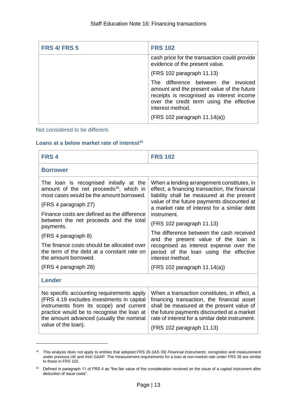| <b>FRS 4/ FRS 5</b> | <b>FRS 102</b>                                                                                                                                                                                                                      |
|---------------------|-------------------------------------------------------------------------------------------------------------------------------------------------------------------------------------------------------------------------------------|
|                     | cash price for the transaction could provide<br>evidence of the present value.                                                                                                                                                      |
|                     | (FRS 102 paragraph 11.13)                                                                                                                                                                                                           |
|                     | The difference between the invoiced<br>amount and the present value of the future<br>receipts is recognised as interest income<br>over the credit term using the effective<br>interest method.<br>$(FRS 102$ paragraph $11.14(a)$ ) |

Not considered to be different.

-

# <span id="page-13-0"></span>**Loans at a below market rate of interest<sup>15</sup>**

| FRS <sub>4</sub>                                                                                                                                                                                                                                   | <b>FRS 102</b>                                                                                                                                                                                                                           |  |  |  |
|----------------------------------------------------------------------------------------------------------------------------------------------------------------------------------------------------------------------------------------------------|------------------------------------------------------------------------------------------------------------------------------------------------------------------------------------------------------------------------------------------|--|--|--|
| <b>Borrower</b>                                                                                                                                                                                                                                    |                                                                                                                                                                                                                                          |  |  |  |
| The loan is recognised initially at the<br>amount of the net proceeds <sup>16</sup> , which in<br>most cases would be the amount borrowed.                                                                                                         | When a lending arrangement constitutes, in<br>effect, a financing transaction, the financial<br>liability shall be measured at the present<br>value of the future payments discounted at<br>a market rate of interest for a similar debt |  |  |  |
| (FRS 4 paragraph 27)                                                                                                                                                                                                                               |                                                                                                                                                                                                                                          |  |  |  |
| Finance costs are defined as the difference<br>between the net proceeds and the total<br>payments.                                                                                                                                                 | instrument.                                                                                                                                                                                                                              |  |  |  |
|                                                                                                                                                                                                                                                    | (FRS 102 paragraph 11.13)                                                                                                                                                                                                                |  |  |  |
| (FRS 4 paragraph 8)                                                                                                                                                                                                                                | The difference between the cash received                                                                                                                                                                                                 |  |  |  |
| The finance costs should be allocated over<br>the term of the debt at a constant rate on<br>the amount borrowed.                                                                                                                                   | and the present value of the loan is<br>recognised as interest expense over the<br>period of the loan using the effective<br>interest method.                                                                                            |  |  |  |
| (FRS 4 paragraph 28)                                                                                                                                                                                                                               | $(FRS 102$ paragraph $11.14(a)$                                                                                                                                                                                                          |  |  |  |
| <b>Lender</b>                                                                                                                                                                                                                                      |                                                                                                                                                                                                                                          |  |  |  |
| No specific accounting requirements apply<br>(FRS 4.19 excludes investments in capital<br>instruments from its scope) and current<br>practice would be to recognise the loan at<br>the amount advanced (usually the nominal<br>value of the loan). | When a transaction constitutes, in effect, a<br>financing transaction, the financial asset<br>shall be measured at the present value of<br>the future payments discounted at a market<br>rate of interest for a similar debt instrument. |  |  |  |
|                                                                                                                                                                                                                                                    | (FRS 102 paragraph 11.13)                                                                                                                                                                                                                |  |  |  |

<sup>15</sup> This analysis does not apply to entities that adopted FRS 26 (IAS 39) *Financial Instruments: recognition and measurement* under previous UK and Irish GAAP*.* The measurement requirements for a loan at non-market rate under FRS 26 are similar to those in FRS 102.

<sup>&</sup>lt;sup>16</sup> Defined in paragraph 11 of FRS 4 as "the fair value of the consideration received on the issue of a capital instrument after deduction of issue costs".